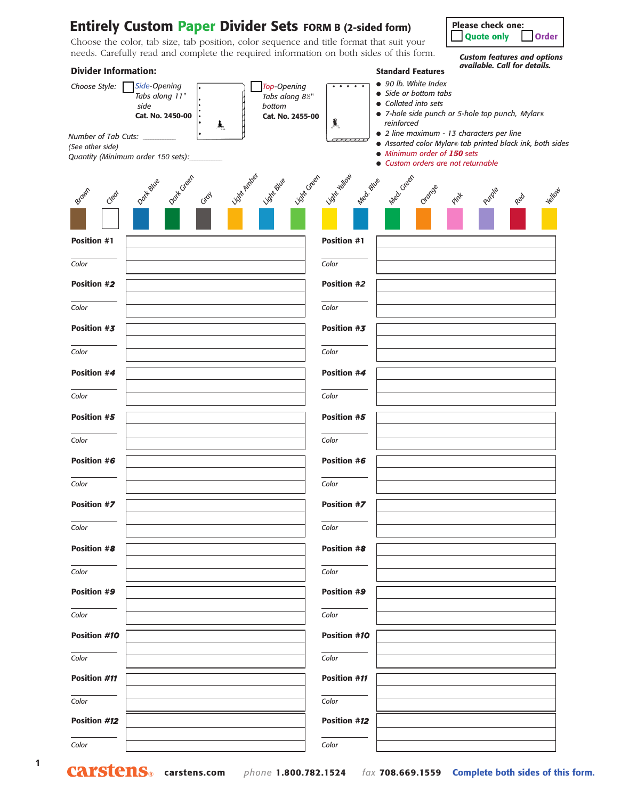## ❑ **Quote only** ❑ **Order Entirely Custom Paper Divider Sets FORM B (2-sided form)**

Choose the color, tab size, tab position, color sequence and title format that suit your needs. Carefully read and complete the required information on both sides of this form.

## **Please check one:**<br>Quote only Quoter

*Custom features and options available. Call for details.*

| <b>Divider Information:</b>                                                                                                                                                                                            | <i>avanable.</i> Can for details.<br><b>Standard Features</b>                                                                                                                                                                                                                                                                                             |
|------------------------------------------------------------------------------------------------------------------------------------------------------------------------------------------------------------------------|-----------------------------------------------------------------------------------------------------------------------------------------------------------------------------------------------------------------------------------------------------------------------------------------------------------------------------------------------------------|
| Top-Opening<br>Choose Style:<br>Side-Opening<br>Tabs along 11"<br>Tabs along 81/2"<br>side<br>bottom<br>Cat. No. 2450-00<br>흑<br>Number of Tab Cuts: _______<br>(See other side)<br>Quantity (Minimum order 150 sets): | • 90 lb. White Index<br>• Side or bottom tabs<br>• Collated into sets<br>• 7-hole side punch or 5-hole top punch, Mylar®<br>Cat. No. 2455-00<br>$\mathbf{I}$<br>reinforced<br>· 2 line maximum - 13 characters per line<br>• Assorted color Mylar® tab printed black ink, both sides<br>• Minimum order of 150 sets<br>• Custom orders are not returnable |
| Light Ambes<br>Don't Creen<br>Light Blue<br>Datt Blue<br>Brown<br>Clear<br>Croy                                                                                                                                        | Light Yellow<br>Light Green<br>Med. Creen<br>Med. Blue<br>Orange<br>Yellow<br>Purple<br>Pint<br>Red                                                                                                                                                                                                                                                       |
| <b>Position #1</b>                                                                                                                                                                                                     | <b>Position #1</b>                                                                                                                                                                                                                                                                                                                                        |
| Color                                                                                                                                                                                                                  | Color                                                                                                                                                                                                                                                                                                                                                     |
| Position #2                                                                                                                                                                                                            | <b>Position #2</b>                                                                                                                                                                                                                                                                                                                                        |
| Color                                                                                                                                                                                                                  | Color                                                                                                                                                                                                                                                                                                                                                     |
| Position #3                                                                                                                                                                                                            | Position #3                                                                                                                                                                                                                                                                                                                                               |
| Color                                                                                                                                                                                                                  | Color                                                                                                                                                                                                                                                                                                                                                     |
| Position #4                                                                                                                                                                                                            | Position #4                                                                                                                                                                                                                                                                                                                                               |
| Color                                                                                                                                                                                                                  | Color                                                                                                                                                                                                                                                                                                                                                     |
| Position #5                                                                                                                                                                                                            | Position #5                                                                                                                                                                                                                                                                                                                                               |
| Color                                                                                                                                                                                                                  | Color                                                                                                                                                                                                                                                                                                                                                     |
| Position #6                                                                                                                                                                                                            | Position #6                                                                                                                                                                                                                                                                                                                                               |
| Color                                                                                                                                                                                                                  | Color                                                                                                                                                                                                                                                                                                                                                     |
| Position #7                                                                                                                                                                                                            | Position #7                                                                                                                                                                                                                                                                                                                                               |
| Color                                                                                                                                                                                                                  | Color                                                                                                                                                                                                                                                                                                                                                     |
| Position #8                                                                                                                                                                                                            | <b>Position #8</b>                                                                                                                                                                                                                                                                                                                                        |
| Color                                                                                                                                                                                                                  | Color                                                                                                                                                                                                                                                                                                                                                     |
| <b>Position #9</b>                                                                                                                                                                                                     | <b>Position #9</b>                                                                                                                                                                                                                                                                                                                                        |
| Color                                                                                                                                                                                                                  | Color                                                                                                                                                                                                                                                                                                                                                     |
| Position #10                                                                                                                                                                                                           | Position #10                                                                                                                                                                                                                                                                                                                                              |
| Color                                                                                                                                                                                                                  | Color                                                                                                                                                                                                                                                                                                                                                     |
| Position #11                                                                                                                                                                                                           | Position #11                                                                                                                                                                                                                                                                                                                                              |
| Color                                                                                                                                                                                                                  | Color                                                                                                                                                                                                                                                                                                                                                     |
| Position #12                                                                                                                                                                                                           | Position #12                                                                                                                                                                                                                                                                                                                                              |
|                                                                                                                                                                                                                        |                                                                                                                                                                                                                                                                                                                                                           |
| Color                                                                                                                                                                                                                  | Color                                                                                                                                                                                                                                                                                                                                                     |

**CArstens.com** *phone* 1.800.782.1524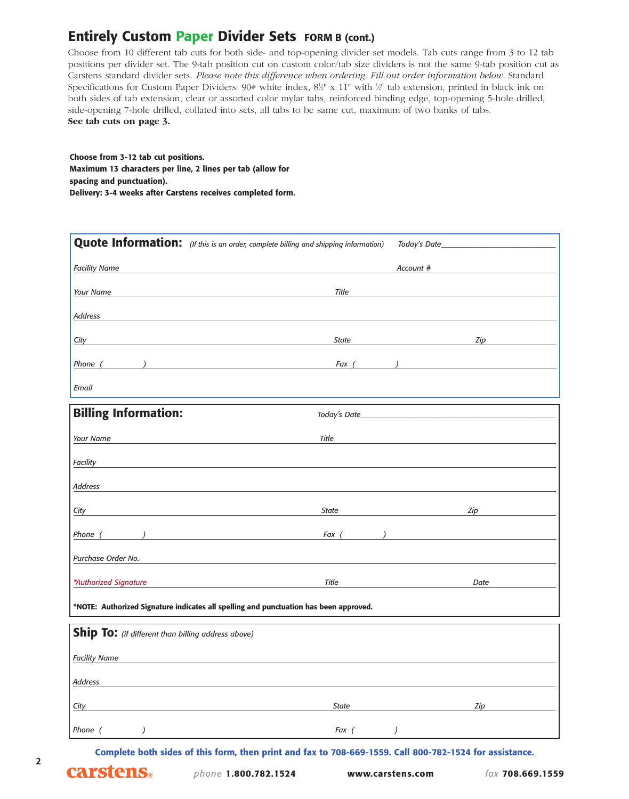## **Entirely Custom Paper Divider Sets FORM B (cont.)**

Choose from 10 different tab cuts for both side- and top-opening divider set models. Tab cuts range from 3 to 12 tab positions per divider set. The 9-tab position cut on custom color/tab size dividers is not the same 9-tab position cut as Carstens standard divider sets. *Please note this difference when ordering. Fill out order information below.* Standard Specifications for Custom Paper Dividers:  $90#$  white index,  $8\frac{1}{2}$ " x 11" with  $\frac{1}{2}$ " tab extension, printed in black ink on both sides of tab extension, clear or assorted color mylar tabs, reinforced binding edge, top-opening 5-hole drilled, side-opening 7-hole drilled, collated into sets, all tabs to be same cut, maximum of two banks of tabs. **See tab cuts on page 3.**

**Choose from 3-12 tab cut positions. Maximum 13 characters per line, 2 lines per tab (allow for spacing and punctuation). Delivery: 3-4 weeks after Carstens receives completed form.**

|                                                                                       | <b>Quote Information:</b> (If this is an order, complete billing and shipping information)                                                                                                                                          | Today's Date_    |  |
|---------------------------------------------------------------------------------------|-------------------------------------------------------------------------------------------------------------------------------------------------------------------------------------------------------------------------------------|------------------|--|
| <b>Facility Name</b>                                                                  |                                                                                                                                                                                                                                     | Account #        |  |
| Your Name                                                                             | Title                                                                                                                                                                                                                               |                  |  |
| Address                                                                               |                                                                                                                                                                                                                                     |                  |  |
| City                                                                                  | State                                                                                                                                                                                                                               | Zip              |  |
| Phone (<br>$\overline{\phantom{a}}$                                                   | $Fax$ ( )                                                                                                                                                                                                                           |                  |  |
| Email                                                                                 |                                                                                                                                                                                                                                     |                  |  |
| <b>Billing Information:</b>                                                           | Today's Date_                                                                                                                                                                                                                       |                  |  |
| Your Name                                                                             | Title<br>the control of the control of the control of the control of                                                                                                                                                                |                  |  |
| Facility                                                                              |                                                                                                                                                                                                                                     |                  |  |
| Address                                                                               |                                                                                                                                                                                                                                     |                  |  |
| City                                                                                  | State                                                                                                                                                                                                                               | Zip              |  |
| Phone (                                                                               | $\overline{a}$ ) and the contract of the contract of the contract of the contract of the contract of the contract of the contract of the contract of the contract of the contract of the contract of the contract of the contract o | Fax $($          |  |
| Purchase Order No.                                                                    |                                                                                                                                                                                                                                     |                  |  |
| *Authorized Signature                                                                 | <b>Title</b>                                                                                                                                                                                                                        | Date             |  |
| *NOTE: Authorized Signature indicates all spelling and punctuation has been approved. |                                                                                                                                                                                                                                     |                  |  |
| Ship To: (if different than billing address above)                                    |                                                                                                                                                                                                                                     |                  |  |
| <b>Facility Name</b>                                                                  |                                                                                                                                                                                                                                     |                  |  |
| Address                                                                               |                                                                                                                                                                                                                                     |                  |  |
| City                                                                                  | <b>State</b>                                                                                                                                                                                                                        | Zip              |  |
| Phone (<br>$\lambda$                                                                  | Fax (                                                                                                                                                                                                                               | $\left( \right)$ |  |

**Complete both sides of this form, then print and fax to 708-669-1559. Call 800-782-1524 for assistance.**

**2**